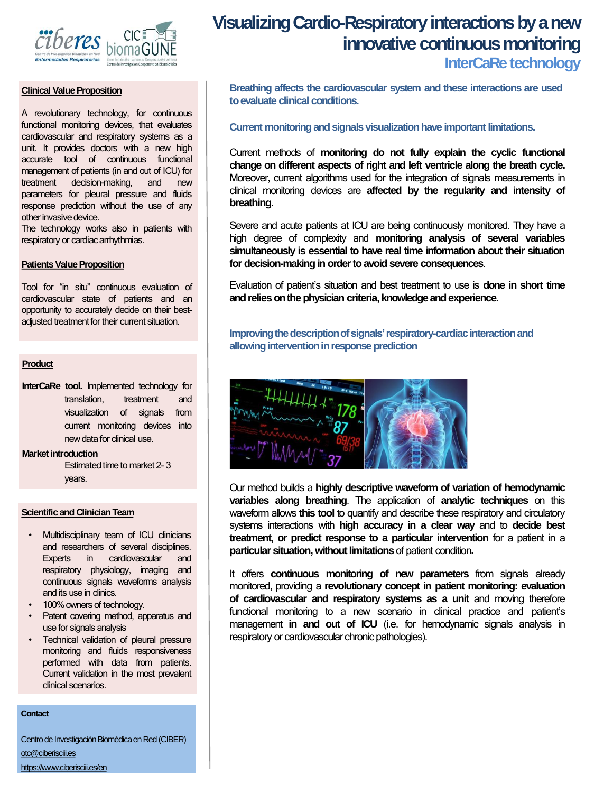

#### **Clinical Value Proposition**

A revolutionary technology, for continuous functional monitoring devices, that evaluates cardiovascular and respiratory systems as a unit. It provides doctors with a new high accurate tool of continuous functional management of patients (in and out of ICU) for treatment decision-making, and new parameters for pleural pressure and fluids response prediction without the use of any other invasive device.

The technology works also in patients with respiratory or cardiac arrhythmias.

#### **Patients Value Proposition**

Tool for "in situ" continuous evaluation of cardiovascular state of patients and an opportunity to accurately decide on their bestadjusted treatment for their current situation.

#### **Product**

**InterCaRe tool.** Implemented technology for translation, treatment and visualization of signals from current monitoring devices into new data for clinical use.

#### **Market introduction**

Estimated time to market 2-3 years.

#### **Scientific and Clinician Team**

- Multidisciplinary team of ICU clinicians and researchers of several disciplines. Experts in cardiovascular and respiratory physiology, imaging and continuous signals waveforms analysis and its use in clinics.
- 100% owners of technology.
- Patent covering method, apparatus and use for signals analysis
- Technical validation of pleural pressure monitoring and fluids responsiveness performed with data from patients. Current validation in the most prevalent clinical scenarios.

#### **Contact**

Centro de Investigación Biomédica en Red (CIBER) [otc@ciberisciii.es](mailto:otc@ciberisciii.es) <https://www.ciberisciii.es/en>

# **Visualizing Cardio-Respiratory interactions by a new innovative continuous monitoring**

## **InterCaRe technology**

**Breathing affects the cardiovascular system and these interactions are used toevaluate clinical conditions.**

#### **Current monitoringandsignals visualizationhave important limitations.**

Current methods of **monitoring do not fully explain the cyclic functional change on different aspects of right and left ventricle along the breath cycle.** Moreover, current algorithms used for the integration of signals measurements in clinical monitoring devices are **affected by the regularity and intensity of breathing.**

Severe and acute patients at ICU are being continuously monitored. They have a high degree of complexity and **monitoring analysis of several variables simultaneously is essential to have real time information about their situation for decision-making in ordertoavoid severe consequences**.

Evaluation of patient's situation and best treatment to use is **done in short time andreliesonthephysician criteria, knowledgeandexperience.**

**Improving the description of signals' respiratory-cardiac interaction and allowing intervention in response prediction** 



Our method builds a **highly descriptive waveform of variation of hemodynamic variables along breathing**. The application of **analytic techniques** on this waveform allows **this tool** to quantify and describe these respiratory and circulatory systems interactions with **high accuracy in a clear way** and to **decide best treatment, or predict response to a particular intervention** for a patient in a **particular situation, without limitations** of patient condition.

It offers **continuous monitoring of new parameters** from signals already monitored, providing a **revolutionary concept in patient monitoring: evaluation of cardiovascular and respiratory systems as a unit** and moving therefore functional monitoring to a new scenario in clinical practice and patient's management **in and out of ICU** (i.e. for hemodynamic signals analysis in respiratory or cardiovascular chronic pathologies).